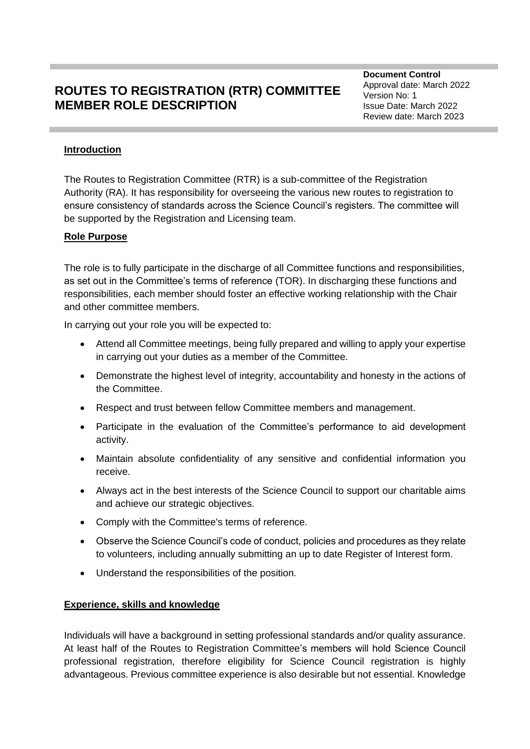# **ROUTES TO REGISTRATION (RTR) COMMITTEE MEMBER ROLE DESCRIPTION**

**Document Control** Approval date: March 2022 Version No: 1 Issue Date: March 2022 Review date: March 2023

### **Introduction**

The Routes to Registration Committee (RTR) is a sub-committee of the Registration Authority (RA). It has responsibility for overseeing the various new routes to registration to ensure consistency of standards across the Science Council's registers. The committee will be supported by the Registration and Licensing team.

#### **Role Purpose**

The role is to fully participate in the discharge of all Committee functions and responsibilities, as set out in the Committee's terms of reference (TOR). In discharging these functions and responsibilities, each member should foster an effective working relationship with the Chair and other committee members.

In carrying out your role you will be expected to:

- Attend all Committee meetings, being fully prepared and willing to apply your expertise in carrying out your duties as a member of the Committee.
- Demonstrate the highest level of integrity, accountability and honesty in the actions of the Committee.
- Respect and trust between fellow Committee members and management.
- Participate in the evaluation of the Committee's performance to aid development activity.
- Maintain absolute confidentiality of any sensitive and confidential information you receive.
- Always act in the best interests of the Science Council to support our charitable aims and achieve our strategic objectives.
- Comply with the Committee's terms of reference.
- Observe the Science Council's code of conduct, policies and procedures as they relate to volunteers, including annually submitting an up to date Register of Interest form.
- Understand the responsibilities of the position.

#### **Experience, skills and knowledge**

Individuals will have a background in setting professional standards and/or quality assurance. At least half of the Routes to Registration Committee's members will hold Science Council professional registration, therefore eligibility for Science Council registration is highly advantageous. Previous committee experience is also desirable but not essential. Knowledge